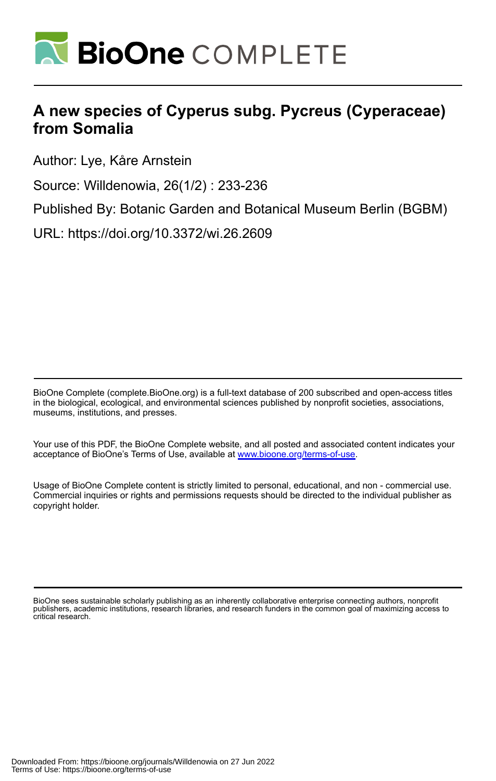

# **A new species of Cyperus subg. Pycreus (Cyperaceae) from Somalia**

Author: Lye, Kåre Arnstein

Source: Willdenowia, 26(1/2) : 233-236

Published By: Botanic Garden and Botanical Museum Berlin (BGBM)

URL: https://doi.org/10.3372/wi.26.2609

BioOne Complete (complete.BioOne.org) is a full-text database of 200 subscribed and open-access titles in the biological, ecological, and environmental sciences published by nonprofit societies, associations, museums, institutions, and presses.

Your use of this PDF, the BioOne Complete website, and all posted and associated content indicates your acceptance of BioOne's Terms of Use, available at www.bioone.org/terms-of-use.

Usage of BioOne Complete content is strictly limited to personal, educational, and non - commercial use. Commercial inquiries or rights and permissions requests should be directed to the individual publisher as copyright holder.

BioOne sees sustainable scholarly publishing as an inherently collaborative enterprise connecting authors, nonprofit publishers, academic institutions, research libraries, and research funders in the common goal of maximizing access to critical research.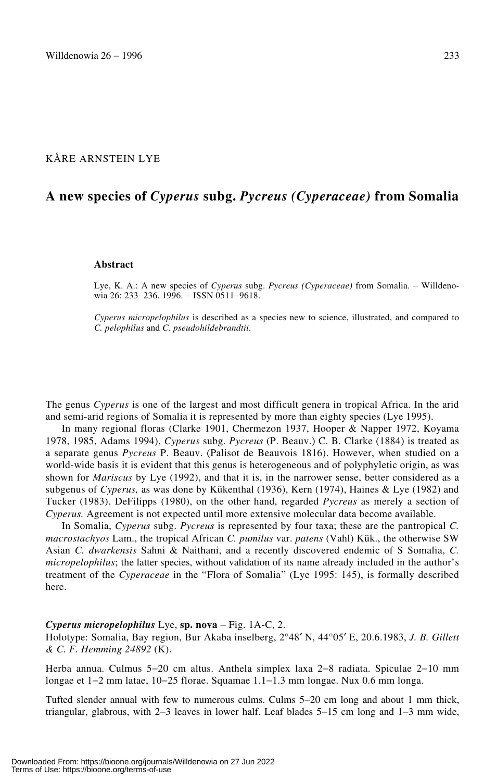# KÅRE ARNSTEIN LYE

# **A new species of** *Cyperus* **subg.** *Pycreus (Cyperaceae)* **from Somalia**

#### **Abstract**

Lye, K. A.: A new species of *Cyperus* subg. *Pycreus (Cyperaceae)* from Somalia. − Willdenowia 26: 233−236. 1996. − ISSN 0511−9618.

*Cyperus micropelophilus* is described as a species new to science, illustrated, and compared to *C. pelophilus* and *C. pseudohildebrandtii*.

The genus *Cyperus* is one of the largest and most difficult genera in tropical Africa. In the arid and semi-arid regions of Somalia it is represented by more than eighty species (Lye 1995).

In many regional floras (Clarke 1901, Chermezon 1937, Hooper & Napper 1972, Koyama 1978, 1985, Adams 1994), *Cyperus* subg. *Pycreus* (P. Beauv.) C. B. Clarke (1884) is treated as a separate genus *Pycreus* P. Beauv. (Palisot de Beauvois 1816). However, when studied on a world-wide basis it is evident that this genus is heterogeneous and of polyphyletic origin, as was shown for *Mariscus* by Lye (1992), and that it is, in the narrower sense, better considered as a subgenus of *Cyperus,* as was done by Kükenthal (1936), Kern (1974), Haines & Lye (1982) and Tucker (1983). DeFilipps (1980), on the other hand, regarded *Pycreus* as merely a section of *Cyperus.* Agreement is not expected until more extensive molecular data become available.

In Somalia, *Cyperus* subg. *Pycreus* is represented by four taxa; these are the pantropical *C. macrostachyos* Lam., the tropical African *C. pumilus* var. *patens* (Vahl) Kük., the otherwise SW Asian *C. dwarkensis* Sahni & Naithani, and a recently discovered endemic of S Somalia, *C. micropelophilus*; the latter species, without validation of its name already included in the author's treatment of the *Cyperaceae* in the "Flora of Somalia" (Lye 1995: 145), is formally described here.

### *Cyperus micropelophilus* Lye, **sp. nova** − Fig. 1A-C, 2.

Holotype: Somalia, Bay region, Bur Akaba inselberg, 2°48′ N, 44°05′ E, 20.6.1983, *J. B. Gillett & C. F. Hemming 24892* (K).

Herba annua. Culmus 5−20 cm altus. Anthela simplex laxa 2−8 radiata. Spiculae 2−10 mm longae et 1−2 mm latae, 10−25 florae. Squamae 1.1−1.3 mm longae. Nux 0.6 mm longa.

Tufted slender annual with few to numerous culms. Culms 5−20 cm long and about 1 mm thick, triangular, glabrous, with 2−3 leaves in lower half. Leaf blades 5−15 cm long and 1−3 mm wide,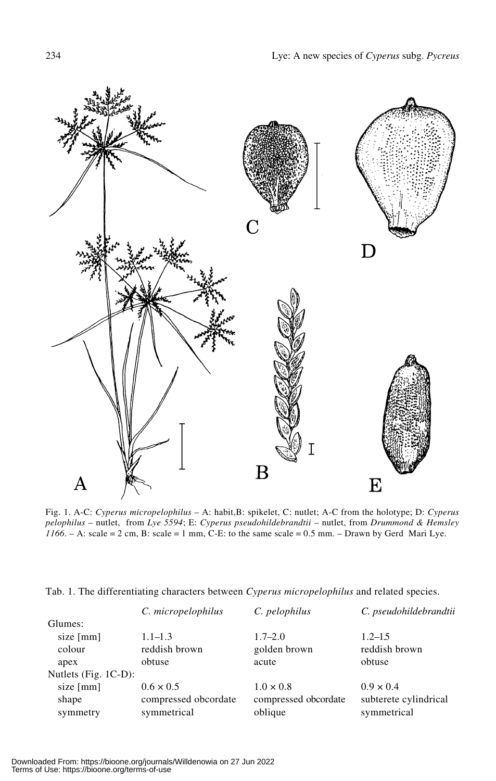

Fig. 1. A-C: *Cyperus micropelophilus* – A: habit,B: spikelet, C: nutlet; A-C from the holotype; D: *Cyperus pelophilus* – nutlet, from *Lye 5594*; E: *Cyperus pseudohildebrandtii* – nutlet, from *Drummond & Hemsley*  $1166$ . – A: scale = 2 cm, B: scale = 1 mm, C-E: to the same scale =  $0.5$  mm. – Drawn by Gerd Mari Lye.

|  | Tab. 1. The differentiating characters between Cyperus micropelophilus and related species. |  |  |  |  |
|--|---------------------------------------------------------------------------------------------|--|--|--|--|
|  |                                                                                             |  |  |  |  |

|                         | C. micropelophilus   | C. pelophilus        | C. pseudohildebrandtii |
|-------------------------|----------------------|----------------------|------------------------|
| Glumes:                 |                      |                      |                        |
| size $[mm]$             | $1.1 - 1.3$          | $1.7 - 2.0$          | $1.2 - 1.5$            |
| colour                  | reddish brown        | golden brown         | reddish brown          |
| apex                    | obtuse               | acute                | obtuse                 |
| Nutlets (Fig. 1C-D):    |                      |                      |                        |
| size $\lceil mm \rceil$ | $0.6 \times 0.5$     | $1.0 \times 0.8$     | $0.9 \times 0.4$       |
| shape                   | compressed obcordate | compressed obcordate | subterete cylindrical  |
| symmetry                | symmetrical          | oblique              | symmetrical            |
|                         |                      |                      |                        |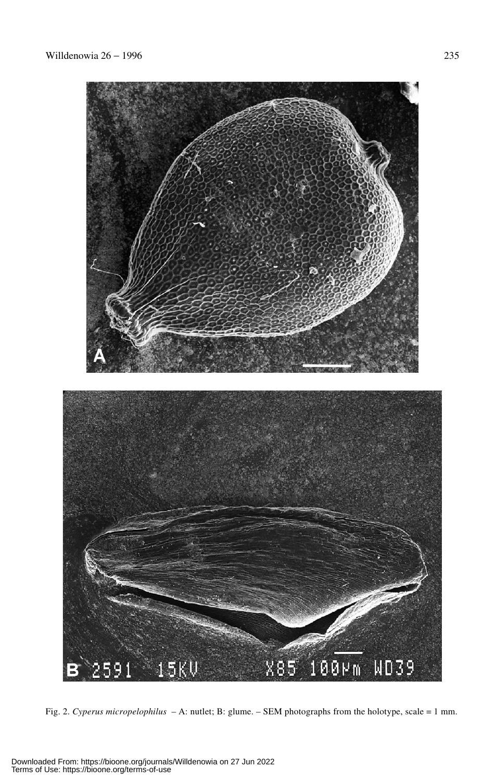

Fig. 2. *Cyperus micropelophilus* – A: nutlet; B: glume. – SEM photographs from the holotype, scale = 1 mm.